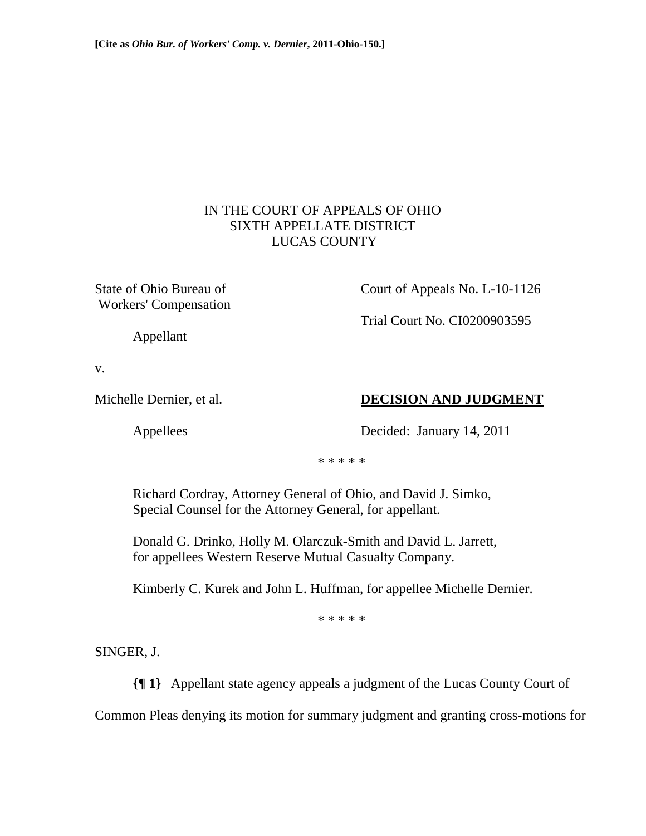## IN THE COURT OF APPEALS OF OHIO SIXTH APPELLATE DISTRICT LUCAS COUNTY

Workers' Compensation

State of Ohio Bureau of Court of Appeals No. L-10-1126

Trial Court No. CI0200903595

Appellant

v.

# Michelle Dernier, et al. **DECISION AND JUDGMENT**

Appellees Decided: January 14, 2011

\* \* \* \* \*

 Richard Cordray, Attorney General of Ohio, and David J. Simko, Special Counsel for the Attorney General, for appellant.

 Donald G. Drinko, Holly M. Olarczuk-Smith and David L. Jarrett, for appellees Western Reserve Mutual Casualty Company.

Kimberly C. Kurek and John L. Huffman, for appellee Michelle Dernier.

\* \* \* \* \*

SINGER, J.

**{¶ 1}** Appellant state agency appeals a judgment of the Lucas County Court of

Common Pleas denying its motion for summary judgment and granting cross-motions for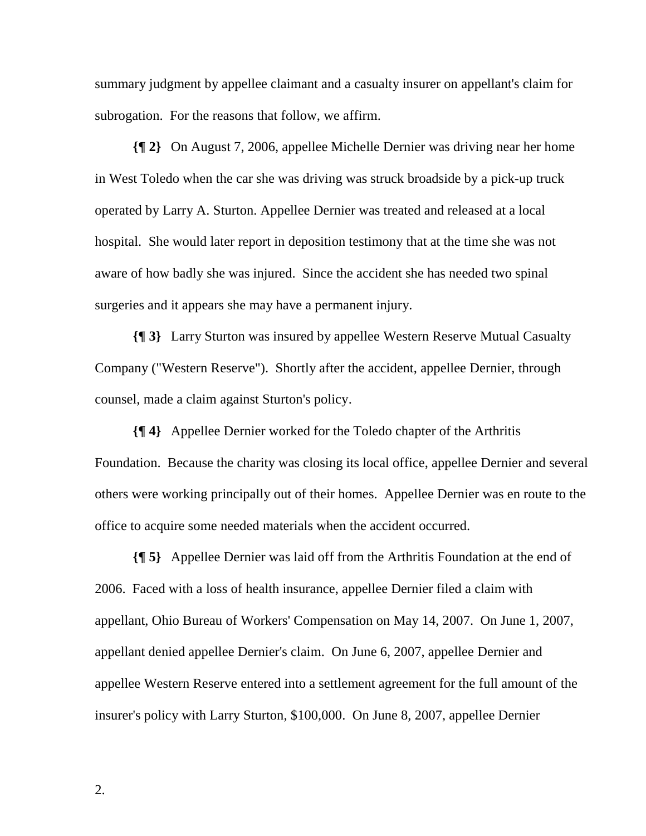summary judgment by appellee claimant and a casualty insurer on appellant's claim for subrogation. For the reasons that follow, we affirm.

**{¶ 2}** On August 7, 2006, appellee Michelle Dernier was driving near her home in West Toledo when the car she was driving was struck broadside by a pick-up truck operated by Larry A. Sturton. Appellee Dernier was treated and released at a local hospital. She would later report in deposition testimony that at the time she was not aware of how badly she was injured. Since the accident she has needed two spinal surgeries and it appears she may have a permanent injury.

**{¶ 3}** Larry Sturton was insured by appellee Western Reserve Mutual Casualty Company ("Western Reserve"). Shortly after the accident, appellee Dernier, through counsel, made a claim against Sturton's policy.

**{¶ 4}** Appellee Dernier worked for the Toledo chapter of the Arthritis Foundation. Because the charity was closing its local office, appellee Dernier and several others were working principally out of their homes. Appellee Dernier was en route to the office to acquire some needed materials when the accident occurred.

**{¶ 5}** Appellee Dernier was laid off from the Arthritis Foundation at the end of 2006. Faced with a loss of health insurance, appellee Dernier filed a claim with appellant, Ohio Bureau of Workers' Compensation on May 14, 2007. On June 1, 2007, appellant denied appellee Dernier's claim. On June 6, 2007, appellee Dernier and appellee Western Reserve entered into a settlement agreement for the full amount of the insurer's policy with Larry Sturton, \$100,000. On June 8, 2007, appellee Dernier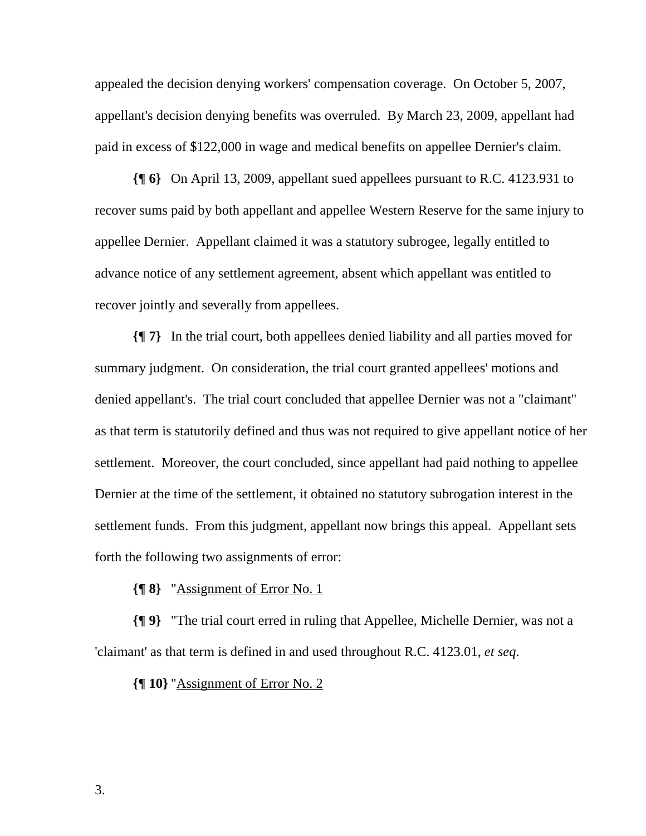appealed the decision denying workers' compensation coverage. On October 5, 2007, appellant's decision denying benefits was overruled. By March 23, 2009, appellant had paid in excess of \$122,000 in wage and medical benefits on appellee Dernier's claim.

**{¶ 6}** On April 13, 2009, appellant sued appellees pursuant to R.C. 4123.931 to recover sums paid by both appellant and appellee Western Reserve for the same injury to appellee Dernier. Appellant claimed it was a statutory subrogee, legally entitled to advance notice of any settlement agreement, absent which appellant was entitled to recover jointly and severally from appellees.

**{¶ 7}** In the trial court, both appellees denied liability and all parties moved for summary judgment. On consideration, the trial court granted appellees' motions and denied appellant's. The trial court concluded that appellee Dernier was not a "claimant" as that term is statutorily defined and thus was not required to give appellant notice of her settlement. Moreover, the court concluded, since appellant had paid nothing to appellee Dernier at the time of the settlement, it obtained no statutory subrogation interest in the settlement funds. From this judgment, appellant now brings this appeal. Appellant sets forth the following two assignments of error:

**{¶ 8}** "Assignment of Error No. 1

**{¶ 9}** "The trial court erred in ruling that Appellee, Michelle Dernier, was not a 'claimant' as that term is defined in and used throughout R.C. 4123.01, *et seq*.

**{¶ 10}** "Assignment of Error No. 2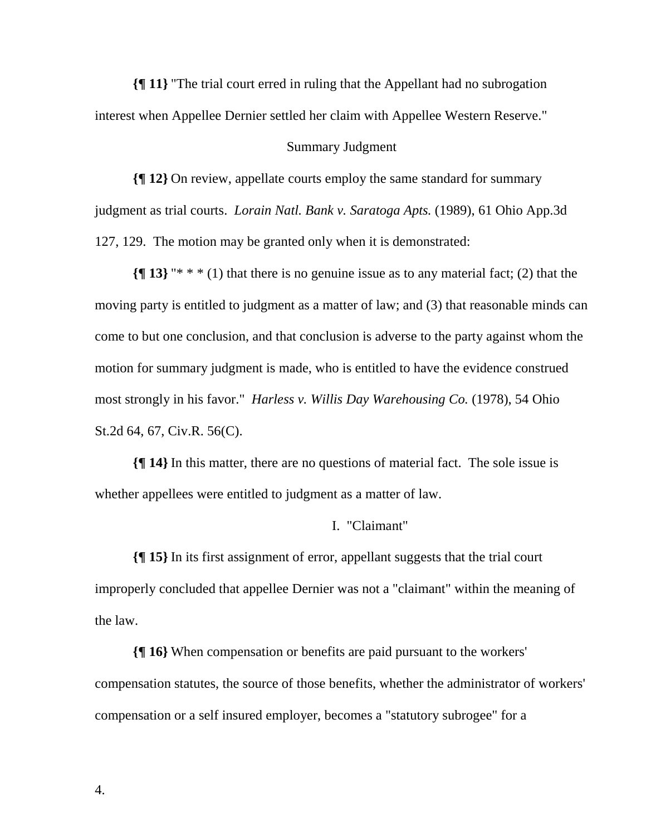**{¶ 11}** "The trial court erred in ruling that the Appellant had no subrogation interest when Appellee Dernier settled her claim with Appellee Western Reserve."

#### Summary Judgment

**{¶ 12}** On review, appellate courts employ the same standard for summary judgment as trial courts. *Lorain Natl. Bank v. Saratoga Apts.* (1989), 61 Ohio App.3d 127, 129. The motion may be granted only when it is demonstrated:

**{¶ 13}** "\* \* \* (1) that there is no genuine issue as to any material fact; (2) that the moving party is entitled to judgment as a matter of law; and (3) that reasonable minds can come to but one conclusion, and that conclusion is adverse to the party against whom the motion for summary judgment is made, who is entitled to have the evidence construed most strongly in his favor." *Harless v. Willis Day Warehousing Co.* (1978), 54 Ohio St.2d 64, 67, Civ.R. 56(C).

**{¶ 14}** In this matter, there are no questions of material fact. The sole issue is whether appellees were entitled to judgment as a matter of law.

### I. "Claimant"

**{¶ 15}** In its first assignment of error, appellant suggests that the trial court improperly concluded that appellee Dernier was not a "claimant" within the meaning of the law.

**{¶ 16}** When compensation or benefits are paid pursuant to the workers' compensation statutes, the source of those benefits, whether the administrator of workers' compensation or a self insured employer, becomes a "statutory subrogee" for a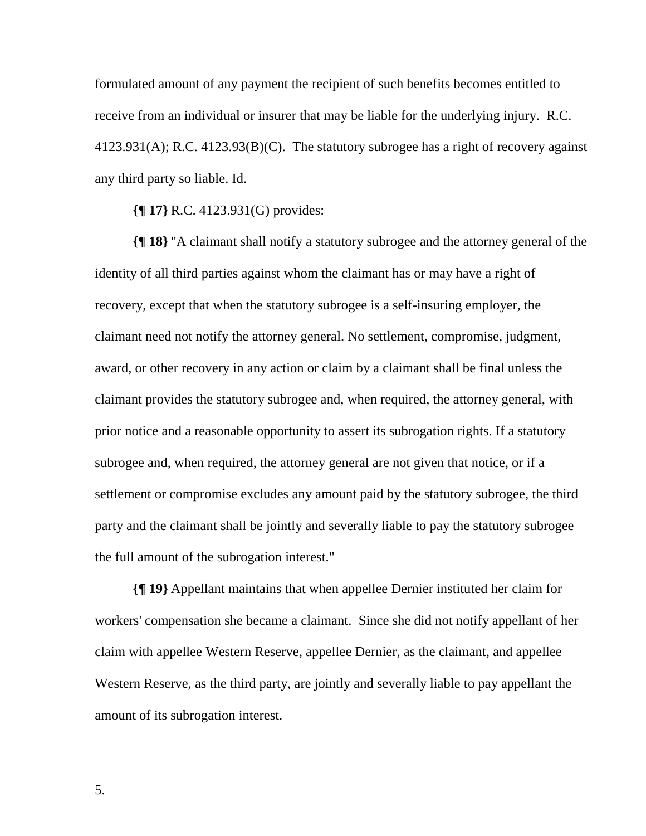formulated amount of any payment the recipient of such benefits becomes entitled to receive from an individual or insurer that may be liable for the underlying injury. R.C.  $4123.931(A)$ ; R.C.  $4123.93(B)(C)$ . The statutory subrogee has a right of recovery against any third party so liable. Id.

**{¶ 17}** R.C. 4123.931(G) provides:

**{¶ 18}** "A claimant shall notify a statutory subrogee and the attorney general of the identity of all third parties against whom the claimant has or may have a right of recovery, except that when the statutory subrogee is a self-insuring employer, the claimant need not notify the attorney general. No settlement, compromise, judgment, award, or other recovery in any action or claim by a claimant shall be final unless the claimant provides the statutory subrogee and, when required, the attorney general, with prior notice and a reasonable opportunity to assert its subrogation rights. If a statutory subrogee and, when required, the attorney general are not given that notice, or if a settlement or compromise excludes any amount paid by the statutory subrogee, the third party and the claimant shall be jointly and severally liable to pay the statutory subrogee the full amount of the subrogation interest."

**{¶ 19}** Appellant maintains that when appellee Dernier instituted her claim for workers' compensation she became a claimant. Since she did not notify appellant of her claim with appellee Western Reserve, appellee Dernier, as the claimant, and appellee Western Reserve, as the third party, are jointly and severally liable to pay appellant the amount of its subrogation interest.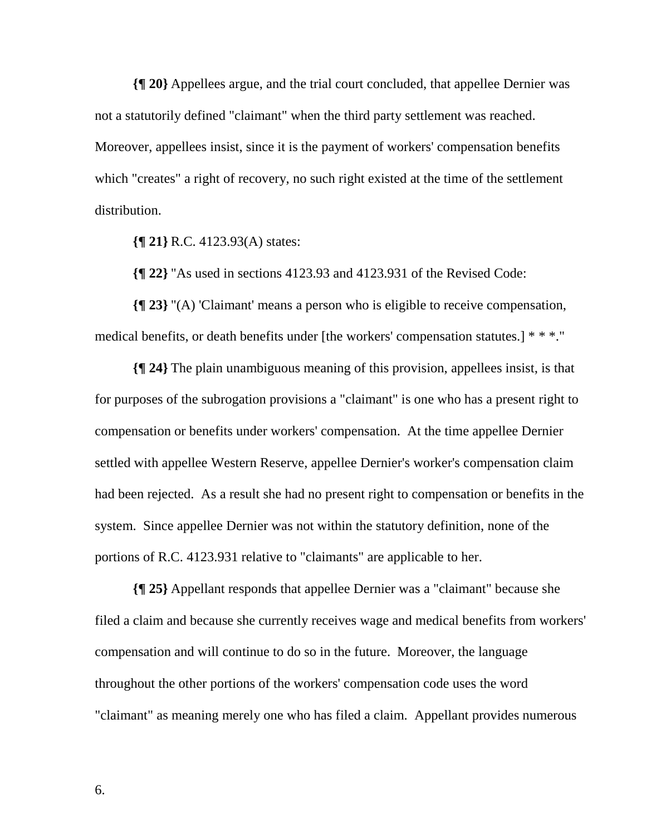**{¶ 20}** Appellees argue, and the trial court concluded, that appellee Dernier was not a statutorily defined "claimant" when the third party settlement was reached. Moreover, appellees insist, since it is the payment of workers' compensation benefits which "creates" a right of recovery, no such right existed at the time of the settlement distribution.

**{¶ 21}** R.C. 4123.93(A) states:

**{¶ 22}** "As used in sections 4123.93 and 4123.931 of the Revised Code:

**{¶ 23}** "(A) 'Claimant' means a person who is eligible to receive compensation, medical benefits, or death benefits under [the workers' compensation statutes.] \* \* \*."

**{¶ 24}** The plain unambiguous meaning of this provision, appellees insist, is that for purposes of the subrogation provisions a "claimant" is one who has a present right to compensation or benefits under workers' compensation. At the time appellee Dernier settled with appellee Western Reserve, appellee Dernier's worker's compensation claim had been rejected. As a result she had no present right to compensation or benefits in the system. Since appellee Dernier was not within the statutory definition, none of the portions of R.C. 4123.931 relative to "claimants" are applicable to her.

**{¶ 25}** Appellant responds that appellee Dernier was a "claimant" because she filed a claim and because she currently receives wage and medical benefits from workers' compensation and will continue to do so in the future. Moreover, the language throughout the other portions of the workers' compensation code uses the word "claimant" as meaning merely one who has filed a claim. Appellant provides numerous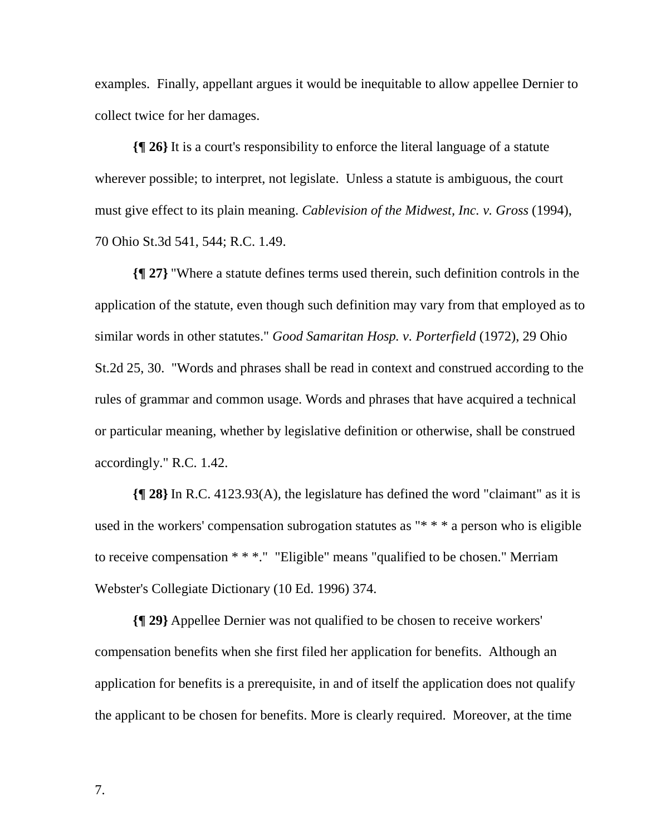examples. Finally, appellant argues it would be inequitable to allow appellee Dernier to collect twice for her damages.

**{¶ 26}** It is a court's responsibility to enforce the literal language of a statute wherever possible; to interpret, not legislate. Unless a statute is ambiguous, the court must give effect to its plain meaning. *Cablevision of the Midwest, Inc. v. Gross* (1994), 70 Ohio St.3d 541, 544; R.C. 1.49.

**{¶ 27}** "Where a statute defines terms used therein, such definition controls in the application of the statute, even though such definition may vary from that employed as to similar words in other statutes." *Good Samaritan Hosp. v. Porterfield* (1972), 29 Ohio St.2d 25, 30. "Words and phrases shall be read in context and construed according to the rules of grammar and common usage. Words and phrases that have acquired a technical or particular meaning, whether by legislative definition or otherwise, shall be construed accordingly." R.C. 1.42.

**{¶ 28}** In R.C. 4123.93(A), the legislature has defined the word "claimant" as it is used in the workers' compensation subrogation statutes as "\* \* \* a person who is eligible to receive compensation \* \* \*." "Eligible" means "qualified to be chosen." Merriam Webster's Collegiate Dictionary (10 Ed. 1996) 374.

**{¶ 29}** Appellee Dernier was not qualified to be chosen to receive workers' compensation benefits when she first filed her application for benefits. Although an application for benefits is a prerequisite, in and of itself the application does not qualify the applicant to be chosen for benefits. More is clearly required. Moreover, at the time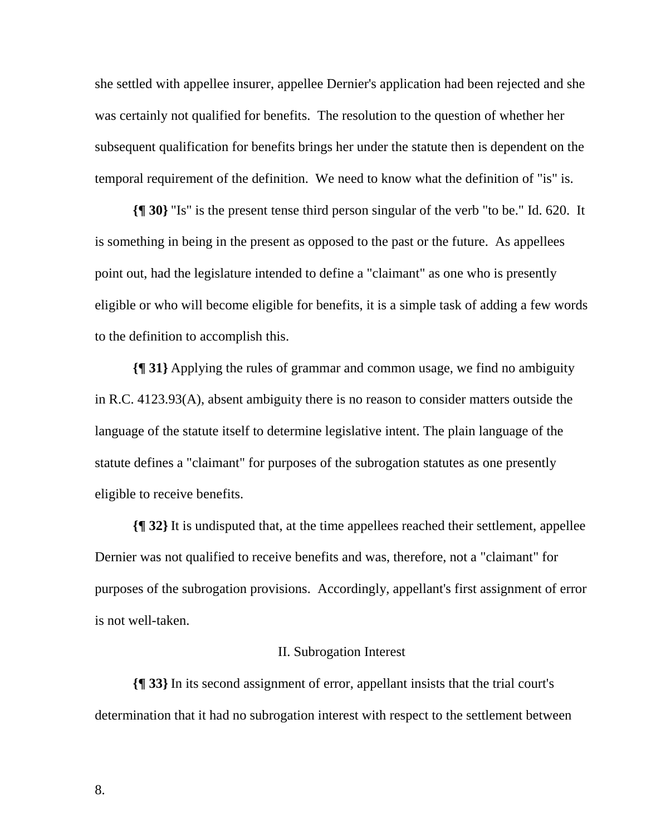she settled with appellee insurer, appellee Dernier's application had been rejected and she was certainly not qualified for benefits. The resolution to the question of whether her subsequent qualification for benefits brings her under the statute then is dependent on the temporal requirement of the definition. We need to know what the definition of "is" is.

**{¶ 30}** "Is" is the present tense third person singular of the verb "to be." Id. 620. It is something in being in the present as opposed to the past or the future. As appellees point out, had the legislature intended to define a "claimant" as one who is presently eligible or who will become eligible for benefits, it is a simple task of adding a few words to the definition to accomplish this.

**{¶ 31}** Applying the rules of grammar and common usage, we find no ambiguity in R.C. 4123.93(A), absent ambiguity there is no reason to consider matters outside the language of the statute itself to determine legislative intent. The plain language of the statute defines a "claimant" for purposes of the subrogation statutes as one presently eligible to receive benefits.

**{¶ 32}** It is undisputed that, at the time appellees reached their settlement, appellee Dernier was not qualified to receive benefits and was, therefore, not a "claimant" for purposes of the subrogation provisions. Accordingly, appellant's first assignment of error is not well-taken.

#### II. Subrogation Interest

**{¶ 33}** In its second assignment of error, appellant insists that the trial court's determination that it had no subrogation interest with respect to the settlement between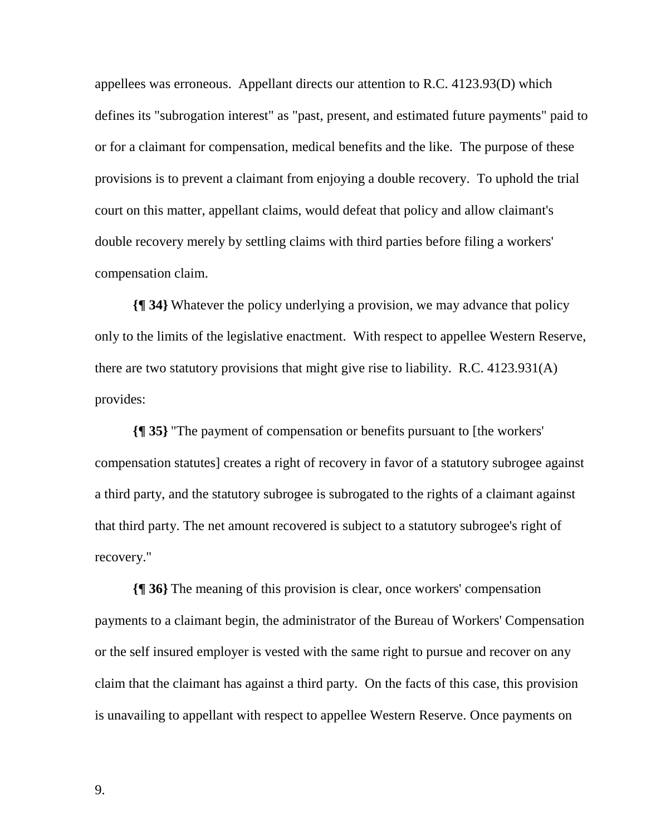appellees was erroneous. Appellant directs our attention to R.C. 4123.93(D) which defines its "subrogation interest" as "past, present, and estimated future payments" paid to or for a claimant for compensation, medical benefits and the like. The purpose of these provisions is to prevent a claimant from enjoying a double recovery. To uphold the trial court on this matter, appellant claims, would defeat that policy and allow claimant's double recovery merely by settling claims with third parties before filing a workers' compensation claim.

**{¶ 34}** Whatever the policy underlying a provision, we may advance that policy only to the limits of the legislative enactment. With respect to appellee Western Reserve, there are two statutory provisions that might give rise to liability. R.C. 4123.931(A) provides:

**{¶ 35}** "The payment of compensation or benefits pursuant to [the workers' compensation statutes] creates a right of recovery in favor of a statutory subrogee against a third party, and the statutory subrogee is subrogated to the rights of a claimant against that third party. The net amount recovered is subject to a statutory subrogee's right of recovery."

**{¶ 36}** The meaning of this provision is clear, once workers' compensation payments to a claimant begin, the administrator of the Bureau of Workers' Compensation or the self insured employer is vested with the same right to pursue and recover on any claim that the claimant has against a third party. On the facts of this case, this provision is unavailing to appellant with respect to appellee Western Reserve. Once payments on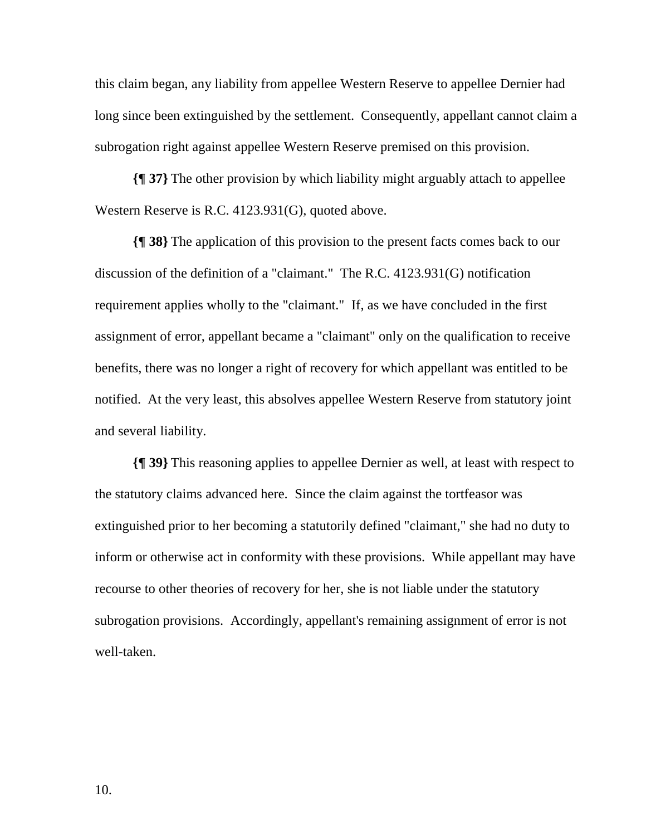this claim began, any liability from appellee Western Reserve to appellee Dernier had long since been extinguished by the settlement. Consequently, appellant cannot claim a subrogation right against appellee Western Reserve premised on this provision.

**{¶ 37}** The other provision by which liability might arguably attach to appellee Western Reserve is R.C. 4123.931(G), quoted above.

**{¶ 38}** The application of this provision to the present facts comes back to our discussion of the definition of a "claimant." The R.C. 4123.931(G) notification requirement applies wholly to the "claimant." If, as we have concluded in the first assignment of error, appellant became a "claimant" only on the qualification to receive benefits, there was no longer a right of recovery for which appellant was entitled to be notified. At the very least, this absolves appellee Western Reserve from statutory joint and several liability.

**{¶ 39}** This reasoning applies to appellee Dernier as well, at least with respect to the statutory claims advanced here. Since the claim against the tortfeasor was extinguished prior to her becoming a statutorily defined "claimant," she had no duty to inform or otherwise act in conformity with these provisions. While appellant may have recourse to other theories of recovery for her, she is not liable under the statutory subrogation provisions. Accordingly, appellant's remaining assignment of error is not well-taken.